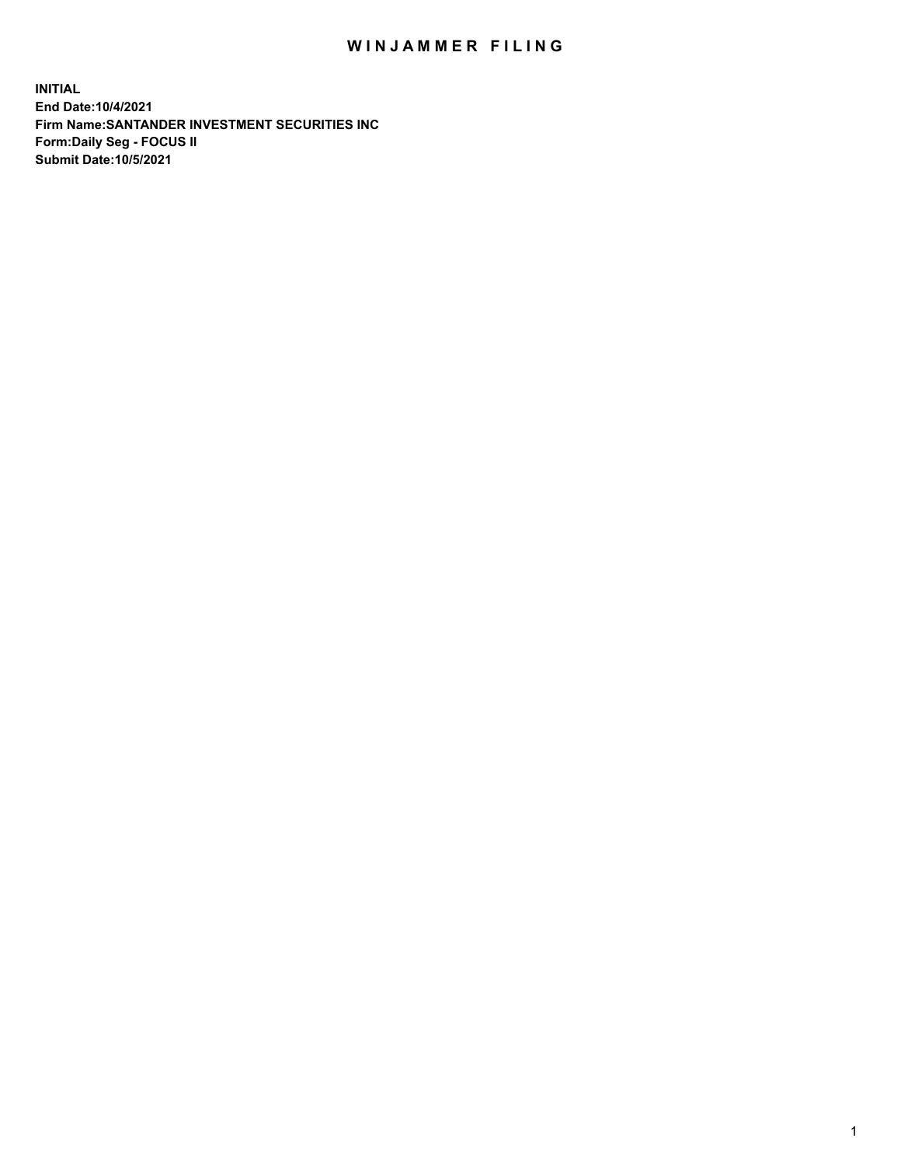## WIN JAMMER FILING

**INITIAL End Date:10/4/2021 Firm Name:SANTANDER INVESTMENT SECURITIES INC Form:Daily Seg - FOCUS II Submit Date:10/5/2021**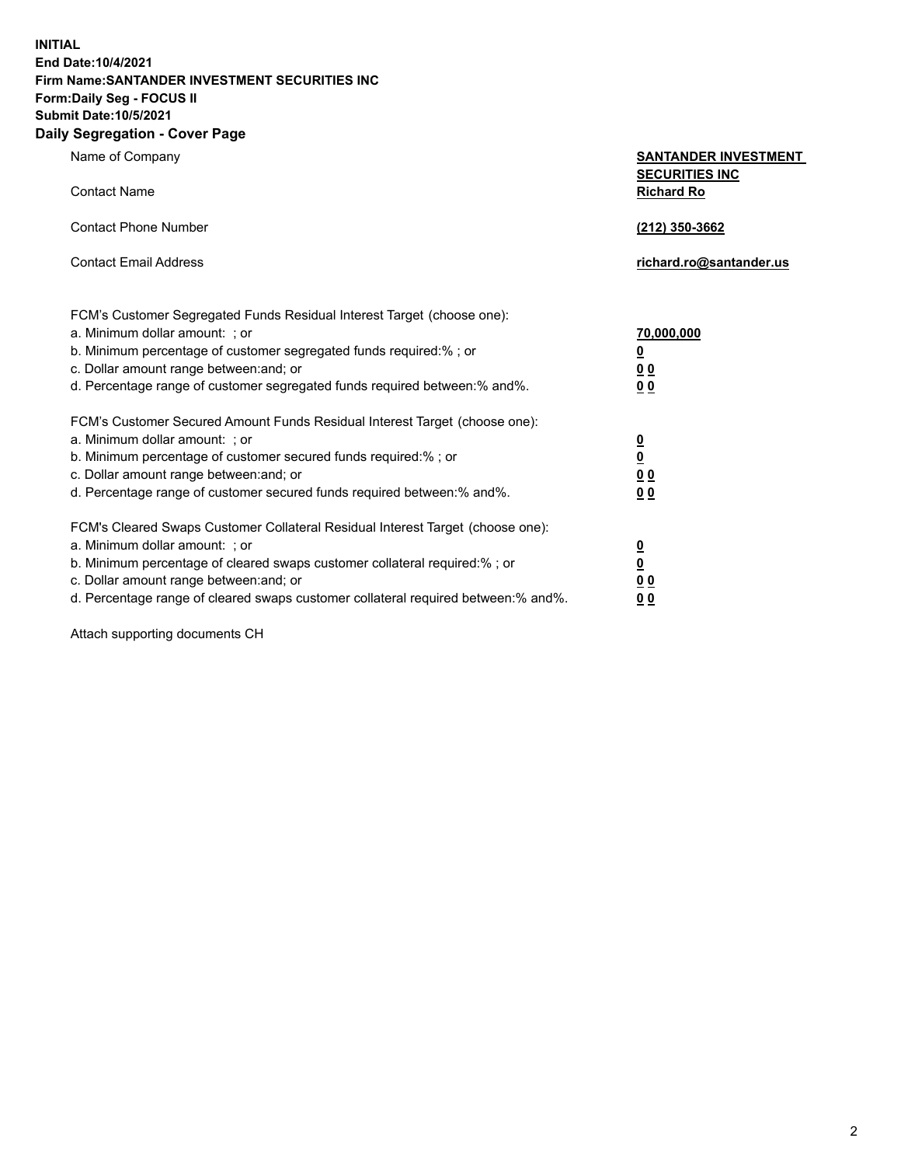**INITIAL End Date:10/4/2021 Firm Name:SANTANDER INVESTMENT SECURITIES INC Form:Daily Seg - FOCUS II Submit Date:10/5/2021 Daily Segregation - Cover Page**

| 0.91                                                                              |                                                      |
|-----------------------------------------------------------------------------------|------------------------------------------------------|
| Name of Company                                                                   | <b>SANTANDER INVESTMENT</b><br><b>SECURITIES INC</b> |
| <b>Contact Name</b>                                                               | <b>Richard Ro</b>                                    |
| <b>Contact Phone Number</b>                                                       | (212) 350-3662                                       |
| <b>Contact Email Address</b>                                                      | richard.ro@santander.us                              |
| FCM's Customer Segregated Funds Residual Interest Target (choose one):            |                                                      |
| a. Minimum dollar amount: ; or                                                    | 70,000,000                                           |
| b. Minimum percentage of customer segregated funds required:%; or                 | <u>0</u>                                             |
| c. Dollar amount range between: and; or                                           | 0 <sub>0</sub>                                       |
| d. Percentage range of customer segregated funds required between:% and%.         | 0 <sub>0</sub>                                       |
| FCM's Customer Secured Amount Funds Residual Interest Target (choose one):        |                                                      |
| a. Minimum dollar amount: ; or                                                    | $\frac{0}{0}$                                        |
| b. Minimum percentage of customer secured funds required:%; or                    |                                                      |
| c. Dollar amount range between: and; or                                           | 0 <sub>0</sub>                                       |
| d. Percentage range of customer secured funds required between: % and %.          | 0 <sub>0</sub>                                       |
| FCM's Cleared Swaps Customer Collateral Residual Interest Target (choose one):    |                                                      |
| a. Minimum dollar amount: ; or                                                    | $\frac{0}{0}$                                        |
| b. Minimum percentage of cleared swaps customer collateral required:% ; or        |                                                      |
| c. Dollar amount range between: and; or                                           | 0 <sub>0</sub>                                       |
| d. Percentage range of cleared swaps customer collateral required between:% and%. | 0 <sub>0</sub>                                       |

Attach supporting documents CH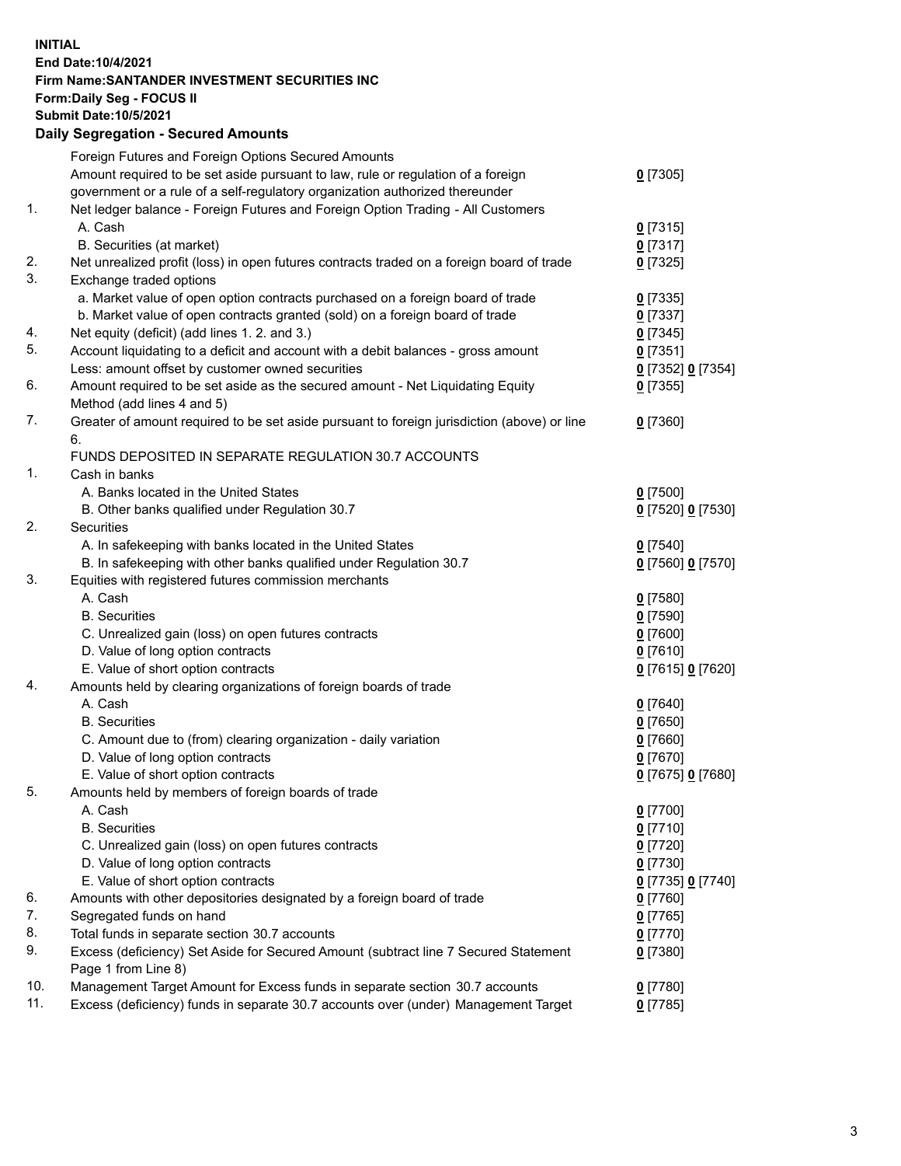**INITIAL End Date:10/4/2021 Firm Name:SANTANDER INVESTMENT SECURITIES INC Form:Daily Seg - FOCUS II Submit Date:10/5/2021 Daily Segregation - Secured Amounts** Foreign Futures and Foreign Options Secured Amounts

|     | Foreign Futures and Foreign Options Secured Amounts                                         |                   |
|-----|---------------------------------------------------------------------------------------------|-------------------|
|     | Amount required to be set aside pursuant to law, rule or regulation of a foreign            | $0$ [7305]        |
|     | government or a rule of a self-regulatory organization authorized thereunder                |                   |
| 1.  | Net ledger balance - Foreign Futures and Foreign Option Trading - All Customers             |                   |
|     | A. Cash                                                                                     | $0$ [7315]        |
|     | B. Securities (at market)                                                                   | $0$ [7317]        |
| 2.  | Net unrealized profit (loss) in open futures contracts traded on a foreign board of trade   | $0$ [7325]        |
| 3.  | Exchange traded options                                                                     |                   |
|     | a. Market value of open option contracts purchased on a foreign board of trade              | $0$ [7335]        |
|     | b. Market value of open contracts granted (sold) on a foreign board of trade                | $0$ [7337]        |
| 4.  | Net equity (deficit) (add lines 1. 2. and 3.)                                               | $0$ [7345]        |
| 5.  | Account liquidating to a deficit and account with a debit balances - gross amount           | $0$ [7351]        |
|     | Less: amount offset by customer owned securities                                            | 0 [7352] 0 [7354] |
| 6.  | Amount required to be set aside as the secured amount - Net Liquidating Equity              | $0$ [7355]        |
|     | Method (add lines 4 and 5)                                                                  |                   |
| 7.  | Greater of amount required to be set aside pursuant to foreign jurisdiction (above) or line | $0$ [7360]        |
|     | 6.                                                                                          |                   |
|     | FUNDS DEPOSITED IN SEPARATE REGULATION 30.7 ACCOUNTS                                        |                   |
| 1.  | Cash in banks                                                                               |                   |
|     | A. Banks located in the United States                                                       | $0$ [7500]        |
|     | B. Other banks qualified under Regulation 30.7                                              | 0 [7520] 0 [7530] |
| 2.  | Securities                                                                                  |                   |
|     | A. In safekeeping with banks located in the United States                                   | $0$ [7540]        |
|     | B. In safekeeping with other banks qualified under Regulation 30.7                          | 0 [7560] 0 [7570] |
| 3.  | Equities with registered futures commission merchants                                       |                   |
|     | A. Cash                                                                                     | $0$ [7580]        |
|     | <b>B.</b> Securities                                                                        | <u>0</u> [7590]   |
|     | C. Unrealized gain (loss) on open futures contracts                                         | $0$ [7600]        |
|     | D. Value of long option contracts                                                           | $0$ [7610]        |
|     | E. Value of short option contracts                                                          | 0 [7615] 0 [7620] |
| 4.  | Amounts held by clearing organizations of foreign boards of trade                           |                   |
|     | A. Cash                                                                                     | $0$ [7640]        |
|     | <b>B.</b> Securities                                                                        | <u>0</u> [7650]   |
|     | C. Amount due to (from) clearing organization - daily variation                             | $0$ [7660]        |
|     | D. Value of long option contracts                                                           | $0$ [7670]        |
|     | E. Value of short option contracts                                                          | 0 [7675] 0 [7680] |
| 5.  | Amounts held by members of foreign boards of trade                                          |                   |
|     | A. Cash                                                                                     | 0 [7700]          |
|     | <b>B.</b> Securities                                                                        | $0$ [7710]        |
|     | C. Unrealized gain (loss) on open futures contracts                                         | $0$ [7720]        |
|     | D. Value of long option contracts                                                           | $0$ [7730]        |
|     | E. Value of short option contracts                                                          | 0 [7735] 0 [7740] |
| 6.  | Amounts with other depositories designated by a foreign board of trade                      | $0$ [7760]        |
| 7.  | Segregated funds on hand                                                                    | $0$ [7765]        |
| 8.  | Total funds in separate section 30.7 accounts                                               | 0 [7770]          |
| 9.  | Excess (deficiency) Set Aside for Secured Amount (subtract line 7 Secured Statement         | $0$ [7380]        |
|     | Page 1 from Line 8)                                                                         |                   |
| 10. | Management Target Amount for Excess funds in separate section 30.7 accounts                 | 0 [7780]          |
| 11. | Excess (deficiency) funds in separate 30.7 accounts over (under) Management Target          | $0$ [7785]        |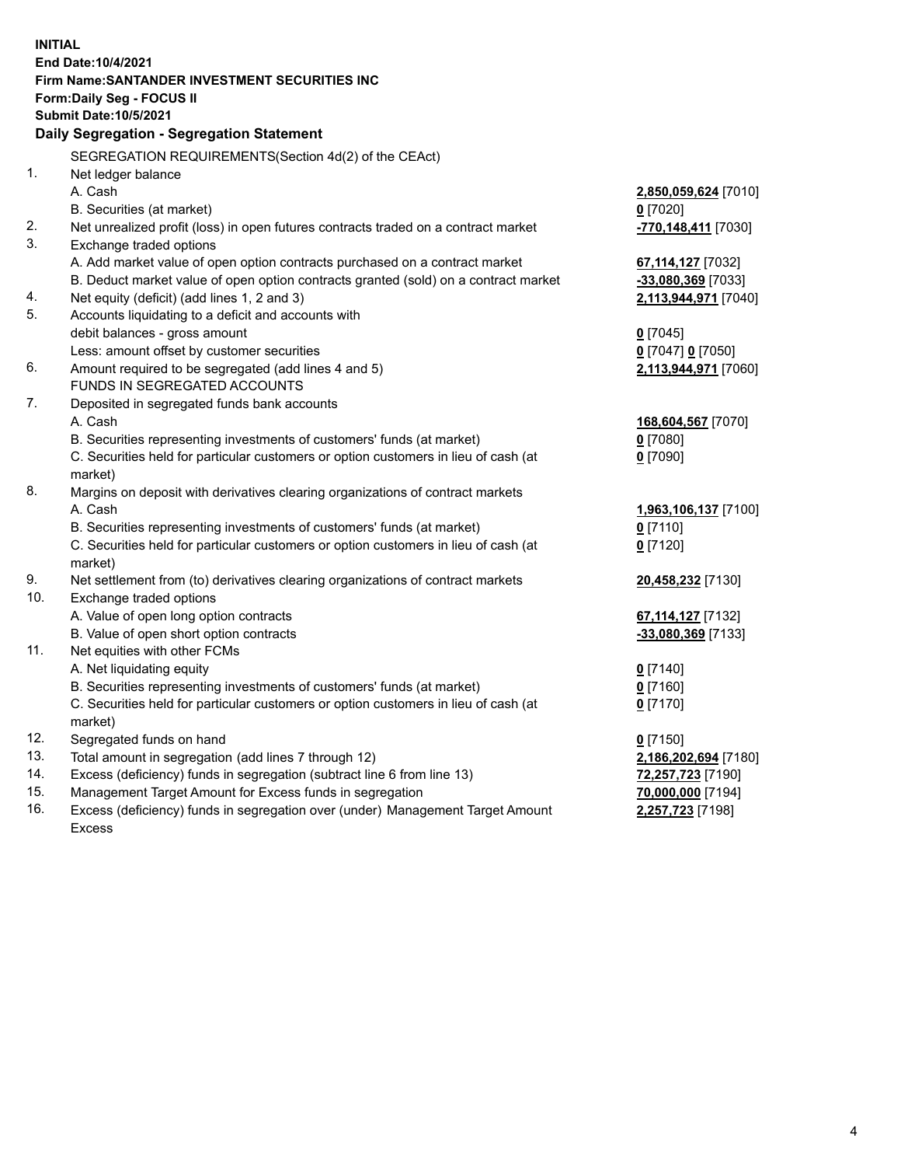| <b>INITIAL</b> |                                                                                           |                      |
|----------------|-------------------------------------------------------------------------------------------|----------------------|
|                | End Date: 10/4/2021                                                                       |                      |
|                | Firm Name: SANTANDER INVESTMENT SECURITIES INC                                            |                      |
|                | Form: Daily Seg - FOCUS II                                                                |                      |
|                | <b>Submit Date: 10/5/2021</b>                                                             |                      |
|                | Daily Segregation - Segregation Statement                                                 |                      |
|                | SEGREGATION REQUIREMENTS(Section 4d(2) of the CEAct)                                      |                      |
| 1.             | Net ledger balance                                                                        |                      |
|                | A. Cash                                                                                   | 2,850,059,624 [7010] |
|                | B. Securities (at market)                                                                 | $0$ [7020]           |
| 2.             | Net unrealized profit (loss) in open futures contracts traded on a contract market        | -770,148,411 [7030]  |
| 3.             | Exchange traded options                                                                   |                      |
|                | A. Add market value of open option contracts purchased on a contract market               | 67,114,127 [7032]    |
|                | B. Deduct market value of open option contracts granted (sold) on a contract market       | -33,080,369 [7033]   |
| 4.             | Net equity (deficit) (add lines 1, 2 and 3)                                               | 2,113,944,971 [7040] |
| 5.             | Accounts liquidating to a deficit and accounts with                                       |                      |
|                | debit balances - gross amount                                                             | $0$ [7045]           |
|                | Less: amount offset by customer securities                                                | 0 [7047] 0 [7050]    |
| 6.             | Amount required to be segregated (add lines 4 and 5)                                      | 2,113,944,971 [7060] |
|                | FUNDS IN SEGREGATED ACCOUNTS                                                              |                      |
| 7.             | Deposited in segregated funds bank accounts                                               |                      |
|                | A. Cash                                                                                   | 168,604,567 [7070]   |
|                | B. Securities representing investments of customers' funds (at market)                    | $0$ [7080]           |
|                | C. Securities held for particular customers or option customers in lieu of cash (at       | $0$ [7090]           |
| 8.             | market)<br>Margins on deposit with derivatives clearing organizations of contract markets |                      |
|                | A. Cash                                                                                   | 1,963,106,137 [7100] |
|                | B. Securities representing investments of customers' funds (at market)                    | $0$ [7110]           |
|                | C. Securities held for particular customers or option customers in lieu of cash (at       | $0$ [7120]           |
|                | market)                                                                                   |                      |
| 9.             | Net settlement from (to) derivatives clearing organizations of contract markets           | 20,458,232 [7130]    |
| 10.            | Exchange traded options                                                                   |                      |
|                | A. Value of open long option contracts                                                    | 67, 114, 127 [7132]  |
|                | B. Value of open short option contracts                                                   | -33,080,369 [7133]   |
| 11.            | Net equities with other FCMs                                                              |                      |
|                | A. Net liquidating equity                                                                 | $0$ [7140]           |
|                | B. Securities representing investments of customers' funds (at market)                    | $0$ [7160]           |
|                | C. Securities held for particular customers or option customers in lieu of cash (at       | $0$ [7170]           |
|                | market)                                                                                   |                      |
| 12.            | Segregated funds on hand                                                                  | $0$ [7150]           |
| 13.            | Total amount in segregation (add lines 7 through 12)                                      | 2,186,202,694 [7180] |
| 14.            | Excess (deficiency) funds in segregation (subtract line 6 from line 13)                   | 72,257,723 [7190]    |
| 15.            | Management Target Amount for Excess funds in segregation                                  | 70,000,000 [7194]    |
| 16.            | Excess (deficiency) funds in segregation over (under) Management Target Amount            | 2,257,723 [7198]     |
|                | <b>Excess</b>                                                                             |                      |